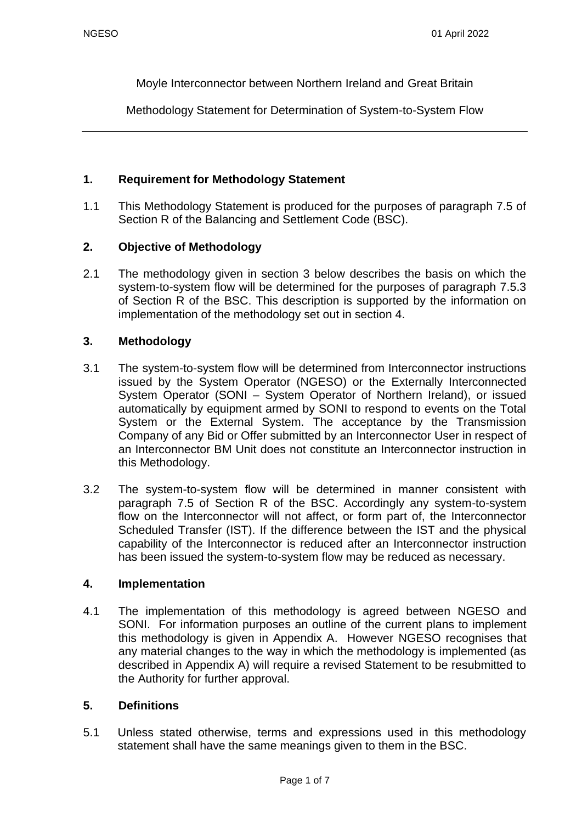Moyle Interconnector between Northern Ireland and Great Britain

Methodology Statement for Determination of System-to-System Flow

### **1. Requirement for Methodology Statement**

1.1 This Methodology Statement is produced for the purposes of paragraph 7.5 of Section R of the Balancing and Settlement Code (BSC).

### **2. Objective of Methodology**

2.1 The methodology given in section 3 below describes the basis on which the system-to-system flow will be determined for the purposes of paragraph 7.5.3 of Section R of the BSC. This description is supported by the information on implementation of the methodology set out in section 4.

### **3. Methodology**

- 3.1 The system-to-system flow will be determined from Interconnector instructions issued by the System Operator (NGESO) or the Externally Interconnected System Operator (SONI – System Operator of Northern Ireland), or issued automatically by equipment armed by SONI to respond to events on the Total System or the External System. The acceptance by the Transmission Company of any Bid or Offer submitted by an Interconnector User in respect of an Interconnector BM Unit does not constitute an Interconnector instruction in this Methodology.
- 3.2 The system-to-system flow will be determined in manner consistent with paragraph 7.5 of Section R of the BSC. Accordingly any system-to-system flow on the Interconnector will not affect, or form part of, the Interconnector Scheduled Transfer (IST). If the difference between the IST and the physical capability of the Interconnector is reduced after an Interconnector instruction has been issued the system-to-system flow may be reduced as necessary.

#### **4. Implementation**

4.1 The implementation of this methodology is agreed between NGESO and SONI. For information purposes an outline of the current plans to implement this methodology is given in Appendix A. However NGESO recognises that any material changes to the way in which the methodology is implemented (as described in Appendix A) will require a revised Statement to be resubmitted to the Authority for further approval.

#### **5. Definitions**

5.1 Unless stated otherwise, terms and expressions used in this methodology statement shall have the same meanings given to them in the BSC.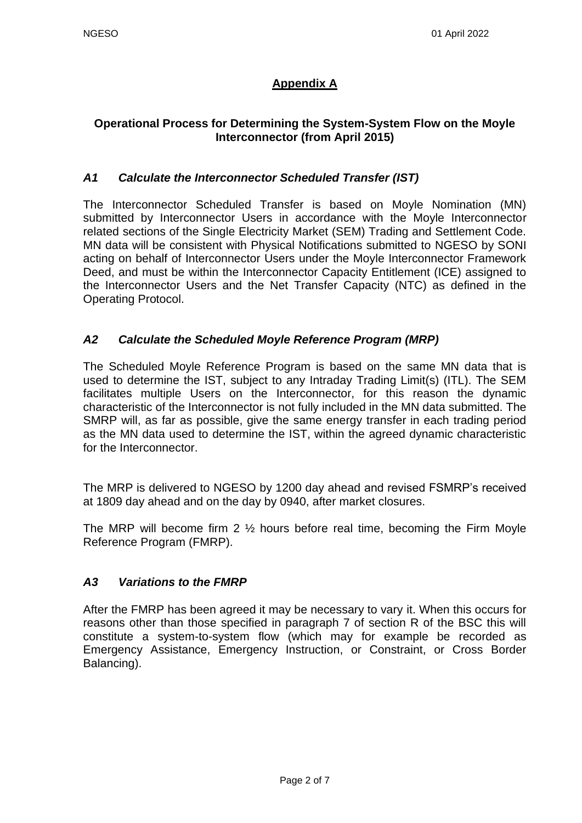# **Appendix A**

# **Operational Process for Determining the System-System Flow on the Moyle Interconnector (from April 2015)**

## *A1 Calculate the Interconnector Scheduled Transfer (IST)*

The Interconnector Scheduled Transfer is based on Moyle Nomination (MN) submitted by Interconnector Users in accordance with the Moyle Interconnector related sections of the Single Electricity Market (SEM) Trading and Settlement Code. MN data will be consistent with Physical Notifications submitted to NGESO by SONI acting on behalf of Interconnector Users under the Moyle Interconnector Framework Deed, and must be within the Interconnector Capacity Entitlement (ICE) assigned to the Interconnector Users and the Net Transfer Capacity (NTC) as defined in the Operating Protocol.

### *A2 Calculate the Scheduled Moyle Reference Program (MRP)*

The Scheduled Moyle Reference Program is based on the same MN data that is used to determine the IST, subject to any Intraday Trading Limit(s) (ITL). The SEM facilitates multiple Users on the Interconnector, for this reason the dynamic characteristic of the Interconnector is not fully included in the MN data submitted. The SMRP will, as far as possible, give the same energy transfer in each trading period as the MN data used to determine the IST, within the agreed dynamic characteristic for the Interconnector.

The MRP is delivered to NGESO by 1200 day ahead and revised FSMRP's received at 1809 day ahead and on the day by 0940, after market closures.

The MRP will become firm 2 ½ hours before real time, becoming the Firm Moyle Reference Program (FMRP).

### *A3 Variations to the FMRP*

After the FMRP has been agreed it may be necessary to vary it. When this occurs for reasons other than those specified in paragraph 7 of section R of the BSC this will constitute a system-to-system flow (which may for example be recorded as Emergency Assistance, Emergency Instruction, or Constraint, or Cross Border Balancing).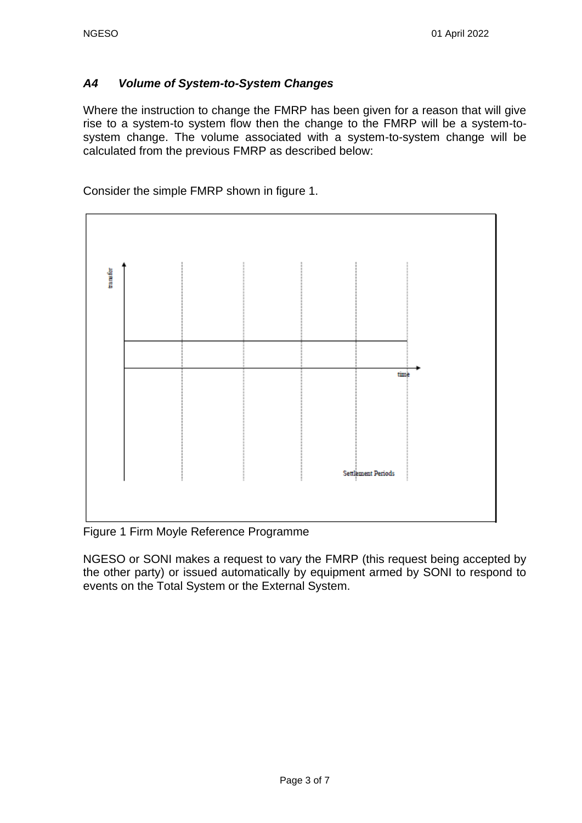### *A4 Volume of System-to-System Changes*

Where the instruction to change the FMRP has been given for a reason that will give rise to a system-to system flow then the change to the FMRP will be a system-tosystem change. The volume associated with a system-to-system change will be calculated from the previous FMRP as described below:

Consider the simple FMRP shown in figure 1.



Figure 1 Firm Moyle Reference Programme

NGESO or SONI makes a request to vary the FMRP (this request being accepted by the other party) or issued automatically by equipment armed by SONI to respond to events on the Total System or the External System.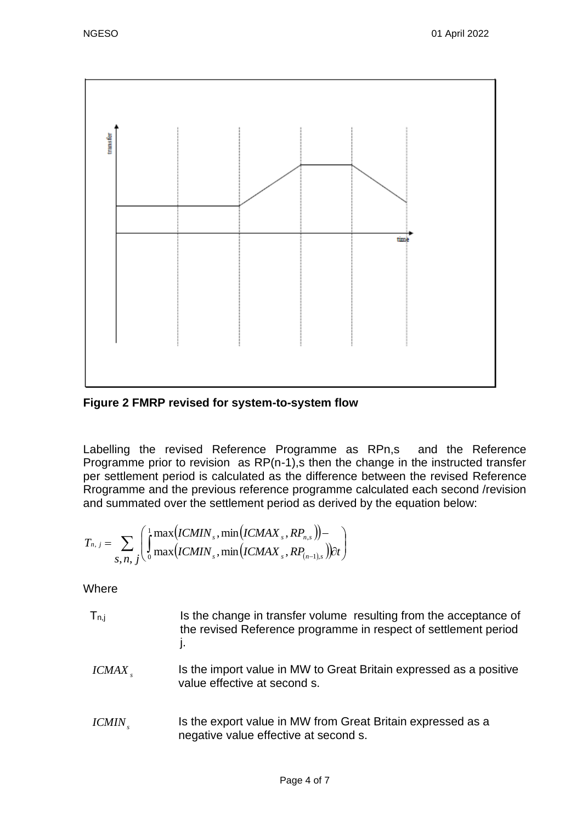

**Figure 2 FMRP revised for system-to-system flow**

Labelling the revised Reference Programme as RPn,s and the Reference Programme prior to revision as RP(n-1), then the change in the instructed transfer per settlement period is calculated as the difference between the revised Reference Rrogramme and the previous reference programme calculated each second /revision and summated over the settlement period as derived by the equation below:

$$
T_{n, j} = \sum_{S, n, j} \left( \int_0^1 \max(ICMIN_s, \min(ICMAX_s, RP_{n,s})) - \int_{S, n, j} \int_0^1 \max(ICMIN_s, \min(ICMAX_s, RP_{(n-1),s})) dt \right)
$$

**Where** 

- $T_{n,j}$  Is the change in transfer volume resulting from the acceptance of the revised Reference programme in respect of settlement period j.
- *s ICMAX* Is the import value in MW to Great Britain expressed as a positive value effective at second s.
- *s ICMIN* Is the export value in MW from Great Britain expressed as a negative value effective at second s.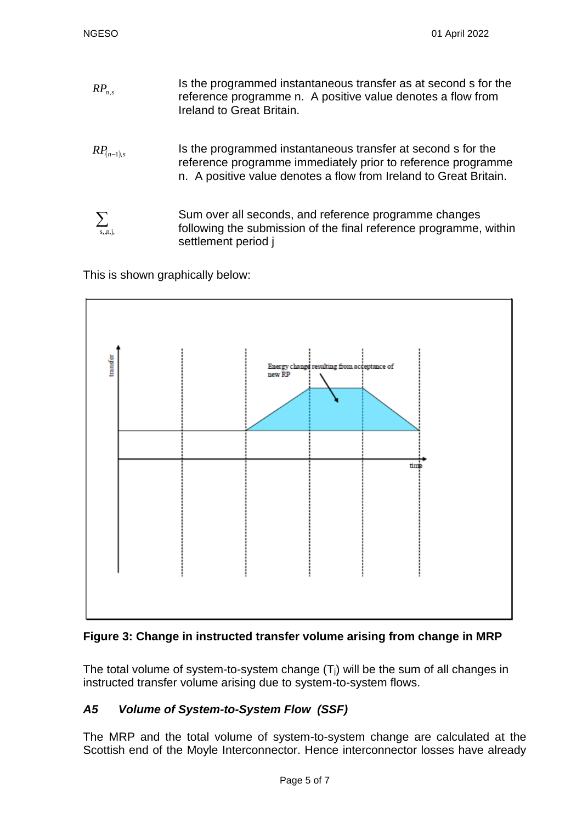- Is the programmed instantaneous transfer as at second s for the reference programme n. A positive value denotes a flow from Ireland to Great Britain.  $RP_{n,s}$
- *RP*(*n*−1),*<sup>s</sup>* Is the programmed instantaneous transfer at second s for the reference programme immediately prior to reference programme n. A positive value denotes a flow from Ireland to Great Britain.
- Sum over all seconds, and reference programme changes following the submission of the final reference programme, within settlement period j  $\sum_{s,n,i}$

This is shown graphically below:





The total volume of system-to-system change  $(T<sub>i</sub>)$  will be the sum of all changes in instructed transfer volume arising due to system-to-system flows.

# *A5 Volume of System-to-System Flow (SSF)*

The MRP and the total volume of system-to-system change are calculated at the Scottish end of the Moyle Interconnector. Hence interconnector losses have already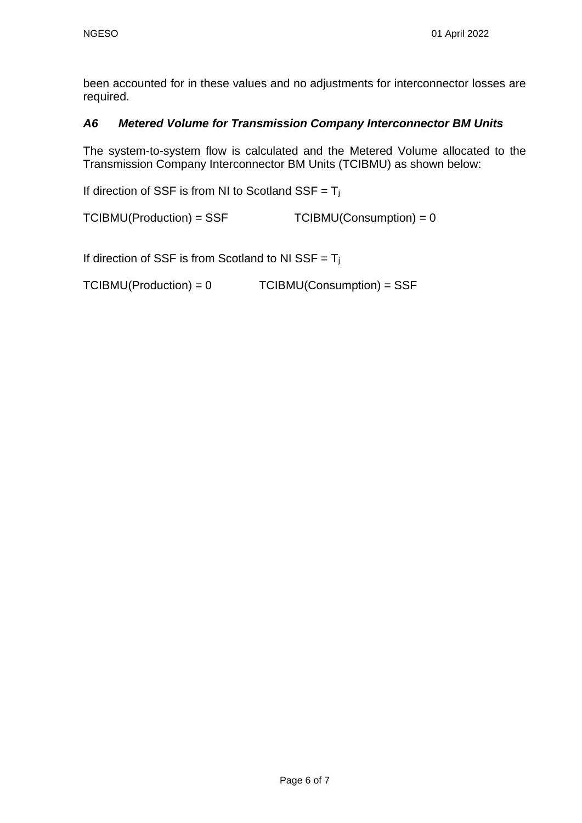been accounted for in these values and no adjustments for interconnector losses are required.

### *A6 Metered Volume for Transmission Company Interconnector BM Units*

The system-to-system flow is calculated and the Metered Volume allocated to the Transmission Company Interconnector BM Units (TCIBMU) as shown below:

If direction of SSF is from NI to Scotland SSF =  $T_i$ 

 $TCIBMU(Production) = SSF$   $TCIBMU(Construction) = 0$ 

If direction of SSF is from Scotland to NI SSF =  $T_j$ 

TCIBMU(Production) = 0 TCIBMU(Consumption) = SSF